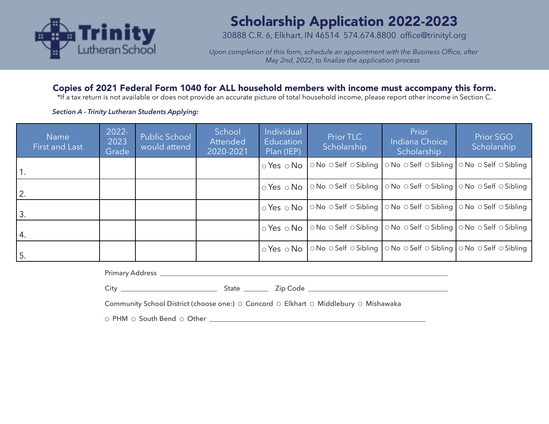

# Scholarship Application 2022-2023

30888 C.R. 6, Elkhart, IN 46514 574.674.8800 office@trinityl.org

*Upon completion of this form, schedule an appointment with the Business Office, after May 2nd, 2022, to finalize the application process.*

# Copies of 2021 Federal Form 1040 for ALL household members with income must accompany this form.

\*If a tax return is not available or does not provide an accurate picture of total household income, please report other income in Section C.

### *Section A - Trinity Lutheran Students Applying:*

| <b>Name</b><br>First and Last | $2022 -$<br>2023<br>Grade | Public School<br>would attend | School<br>Attended<br>2020-2021 | Individual<br>Education<br>Plan (IEP) | Prior TLC<br>Scholarship                                              | Prior<br>Indiana Choice<br>Scholarship                       | <b>Prior SGO</b><br>Scholarship |
|-------------------------------|---------------------------|-------------------------------|---------------------------------|---------------------------------------|-----------------------------------------------------------------------|--------------------------------------------------------------|---------------------------------|
| 1.                            |                           |                               |                                 | $\circ$ Yes $\circ$ No                | $\circ$ No $\circ$ Self $\circ$ Sibling                               | ○ No ○ Self ○ Sibling   ○ No ○ Self ○ Sibling                |                                 |
| $^{\prime}$ 2.                |                           |                               |                                 | $\circ$ Yes $\circ$ No $\vdash$       | ○ No ○ Self ○ Sibling   ○ No ○ Self ○ Sibling   ○ No ○ Self ○ Sibling |                                                              |                                 |
| 3.                            |                           |                               |                                 | $\circ$ Yes $\circ$ No                | ○ No ○ Self ○ Sibling   ○ No ○ Self ○ Sibling   ○ No ○ Self ○ Sibling |                                                              |                                 |
| 4.                            |                           |                               |                                 | $\circ$ Yes $\circ$ No                | ○ No ○ Self ○ Sibling   ○ No ○ Self ○ Sibling   ○ No ○ Self ○ Sibling |                                                              |                                 |
| 5.                            |                           |                               |                                 | $\circ$ Yes $\circ$ No                |                                                                       | ONo OSelf OSibling   ONo OSelf OSibling   ONo OSelf OSibling |                                 |

Primary Address **Contract Contract Contract Contract Contract Contract Contract Contract Contract Contract Contract Contract Contract Contract Contract Contract Contract Contract Contract Contract Contract Contract Contrac** 

City State Zip Code

Community School District (choose one:)  $\circ$  Concord  $\circ$  Elkhart  $\circ$  Middlebury  $\circ$  Mishawaka

PHM South Bend Other